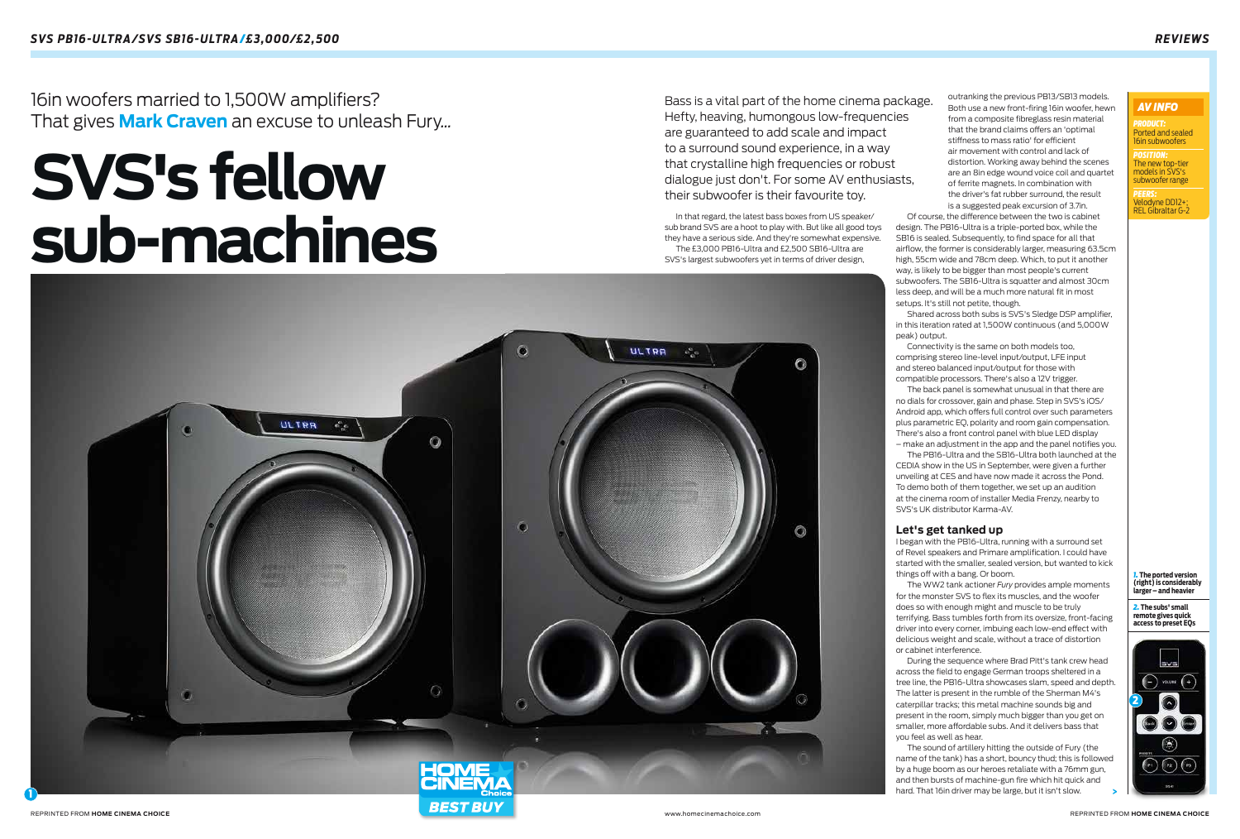



outranking the previous PB13/SB13 models. Both use a new front-firing 16in woofer, hewn from a composite fibreglass resin material that the brand claims offers an 'optimal stiffness to mass ratio' for efficient air movement with control and lack of distortion. Working away behind the scenes are an 8in edge wound voice coil and quartet of ferrite magnets. In combination with the driver's fat rubber surround, the result is a suggested peak excursion of 3.7in.

Of course, the difference between the two is cabinet design. The PB16-Ultra is a triple-ported box, while the SB16 is sealed. Subsequently, to find space for all that airflow, the former is considerably larger, measuring 63.5cm high, 55cm wide and 78cm deep. Which, to put it another way, is likely to be bigger than most people's current subwoofers. The SB16-Ultra is squatter and almost 30cm less deep, and will be a much more natural fit in most setups. It's still not petite, though.

Shared across both subs is SVS's Sledge DSP amplifier, in this iteration rated at 1,500W continuous (and 5,000W peak) output.

Connectivity is the same on both models too, comprising stereo line-level input/output, LFE input and stereo balanced input/output for those with compatible processors. There's also a 12V trigger.

The back panel is somewhat unusual in that there are no dials for crossover, gain and phase. Step in SVS's iOS/ Android app, which offers full control over such parameters plus parametric EQ, polarity and room gain compensation. There's also a front control panel with blue LED display – make an adjustment in the app and the panel notifies you.

The PB16-Ultra and the SB16-Ultra both launched at the CEDIA show in the US in September, were given a further unveiling at CES and have now made it across the Pond. To demo both of them together, we set up an audition at the cinema room of installer Media Frenzy, nearby to SVS's UK distributor Karma-AV.

# **Let's get tanked up**

*POSITION:*  The new top-tier models in SVS's ubwoofer range

I began with the PB16-Ultra, running with a surround set of Revel speakers and Primare amplification. I could have started with the smaller, sealed version, but wanted to kick things off with a bang. Or boom.

The WW2 tank actioner *Fury* provides ample moments for the monster SVS to flex its muscles, and the woofer does so with enough might and muscle to be truly terrifying. Bass tumbles forth from its oversize, front-facing driver into every corner, imbuing each low-end effect with delicious weight and scale, without a trace of distortion or cabinet interference.

During the sequence where Brad Pitt's tank crew head across the field to engage German troops sheltered in a tree line, the PB16-Ultra showcases slam, speed and depth. The latter is present in the rumble of the Sherman M4's caterpillar tracks; this metal machine sounds big and present in the room, simply much bigger than you get on smaller, more affordable subs. And it delivers bass that you feel as well as hear.

The sound of artillery hitting the outside of Fury (the name of the tank) has a short, bouncy thud; this is followed by a huge boom as our heroes retaliate with a 76mm gun, and then bursts of machine-gun fire which hit quick and hard. That 16in driver may be large, but it isn't slow.

In that regard, the latest bass boxes from US speaker/ sub brand SVS are a hoot to play with. But like all good toys they have a serious side. And they're somewhat expensive. The £3,000 PB16-Ultra and £2,500 SB16-Ultra are SVS's largest subwoofers yet in terms of driver design,

Bass is a vital part of the home cinema package. Hefty, heaving, humongous low-frequencies are guaranteed to add scale and impact to a surround sound experience, in a way that crystalline high frequencies or robust dialogue just don't. For some AV enthusiasts, their subwoofer is their favourite toy.

16in woofers married to 1,500W amplifiers? That gives **Mark Craven** an excuse to unleash Fury*...*

> *1.* **The ported version (right) is considerably larger – and heavier**

*2.* **The subs' small remote gives quick access to preset EQs**

# **SVS's fellow sub-machines**

*PRODUCT:* Ported and sealed 16in subwoofers

*PEERS:*   $Ind$ vne DD12+ REL Gibraltar G-2

# *AV INFO*